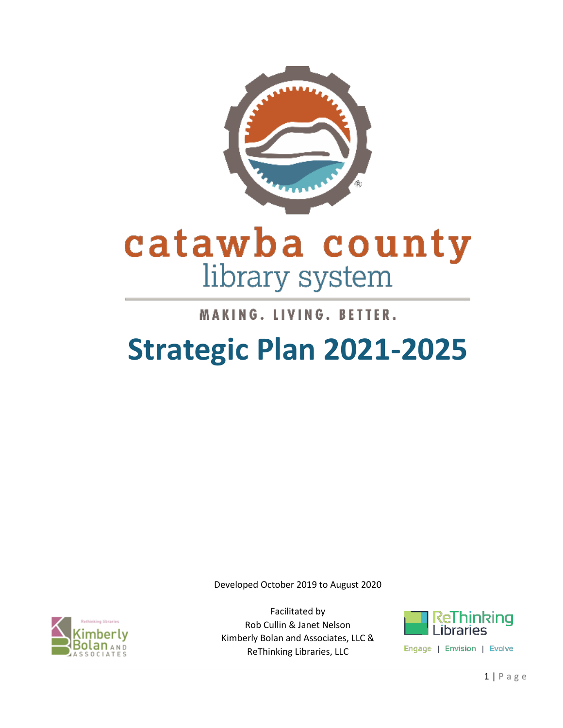

# catawba county library system

### MAKING. LIVING. BETTER.

## **Strategic Plan 2021-2025**

Developed October 2019 to August 2020



Facilitated by Rob Cullin & Janet Nelson Kimberly Bolan and Associates, LLC & ReThinking Libraries, LLC



Engage | Envision | Evolve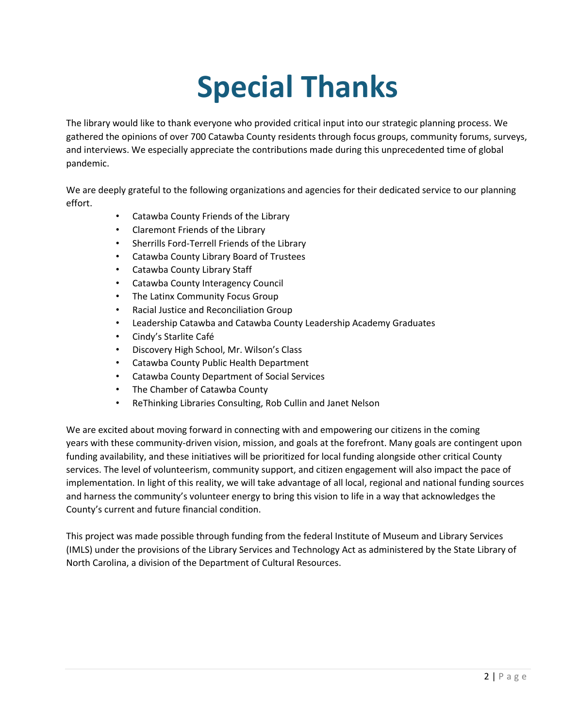# **Special Thanks**

The library would like to thank everyone who provided critical input into our strategic planning process. We gathered the opinions of over 700 Catawba County residents through focus groups, community forums, surveys, and interviews. We especially appreciate the contributions made during this unprecedented time of global pandemic.

We are deeply grateful to the following organizations and agencies for their dedicated service to our planning effort.

- Catawba County Friends of the Library
- Claremont Friends of the Library
- Sherrills Ford-Terrell Friends of the Library
- Catawba County Library Board of Trustees
- Catawba County Library Staff
- Catawba County Interagency Council
- The Latinx Community Focus Group
- Racial Justice and Reconciliation Group
- Leadership Catawba and Catawba County Leadership Academy Graduates
- Cindy's Starlite Café
- Discovery High School, Mr. Wilson's Class
- Catawba County Public Health Department
- Catawba County Department of Social Services
- The Chamber of Catawba County
- ReThinking Libraries Consulting, Rob Cullin and Janet Nelson

We are excited about moving forward in connecting with and empowering our citizens in the coming years with these community-driven vision, mission, and goals at the forefront. Many goals are contingent upon funding availability, and these initiatives will be prioritized for local funding alongside other critical County services. The level of volunteerism, community support, and citizen engagement will also impact the pace of implementation. In light of this reality, we will take advantage of all local, regional and national funding sources and harness the community's volunteer energy to bring this vision to life in a way that acknowledges the County's current and future financial condition.

This project was made possible through funding from the federal Institute of Museum and Library Services (IMLS) under the provisions of the Library Services and Technology Act as administered by the State Library of North Carolina, a division of the Department of Cultural Resources.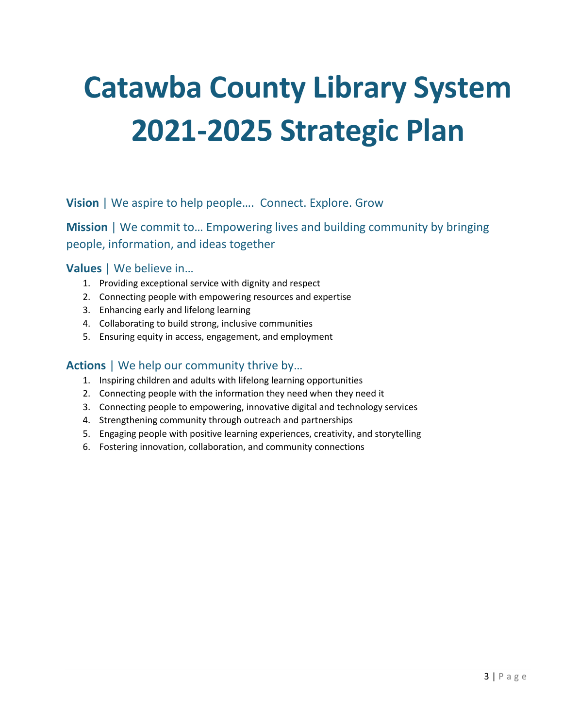# **Catawba County Library System 2021-2025 Strategic Plan**

**Vision** | We aspire to help people…. Connect. Explore. Grow

**Mission** | We commit to... Empowering lives and building community by bringing people, information, and ideas together

#### **Values** | We believe in…

- 1. Providing exceptional service with dignity and respect
- 2. Connecting people with empowering resources and expertise
- 3. Enhancing early and lifelong learning
- 4. Collaborating to build strong, inclusive communities
- 5. Ensuring equity in access, engagement, and employment

#### **Actions** | We help our community thrive by…

- 1. Inspiring children and adults with lifelong learning opportunities
- 2. Connecting people with the information they need when they need it
- 3. Connecting people to empowering, innovative digital and technology services
- 4. Strengthening community through outreach and partnerships
- 5. Engaging people with positive learning experiences, creativity, and storytelling
- 6. Fostering innovation, collaboration, and community connections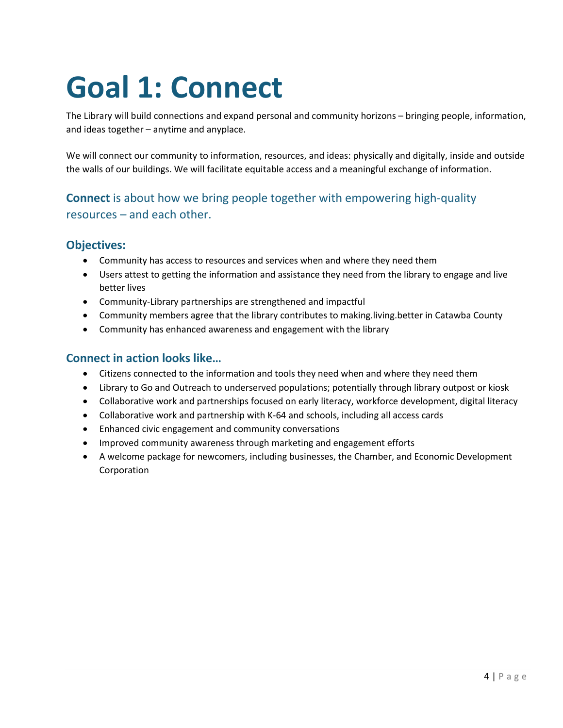# **Goal 1: Connect**

The Library will build connections and expand personal and community horizons – bringing people, information, and ideas together – anytime and anyplace.

We will connect our community to information, resources, and ideas: physically and digitally, inside and outside the walls of our buildings. We will facilitate equitable access and a meaningful exchange of information.

#### **Connect** is about how we bring people together with empowering high-quality resources – and each other.

#### **Objectives:**

- Community has access to resources and services when and where they need them
- Users attest to getting the information and assistance they need from the library to engage and live better lives
- Community-Library partnerships are strengthened and impactful
- Community members agree that the library contributes to making.living.better in Catawba County
- Community has enhanced awareness and engagement with the library

#### **Connect in action looks like…**

- Citizens connected to the information and tools they need when and where they need them
- Library to Go and Outreach to underserved populations; potentially through library outpost or kiosk
- Collaborative work and partnerships focused on early literacy, workforce development, digital literacy
- Collaborative work and partnership with K-64 and schools, including all access cards
- Enhanced civic engagement and community conversations
- Improved community awareness through marketing and engagement efforts
- A welcome package for newcomers, including businesses, the Chamber, and Economic Development Corporation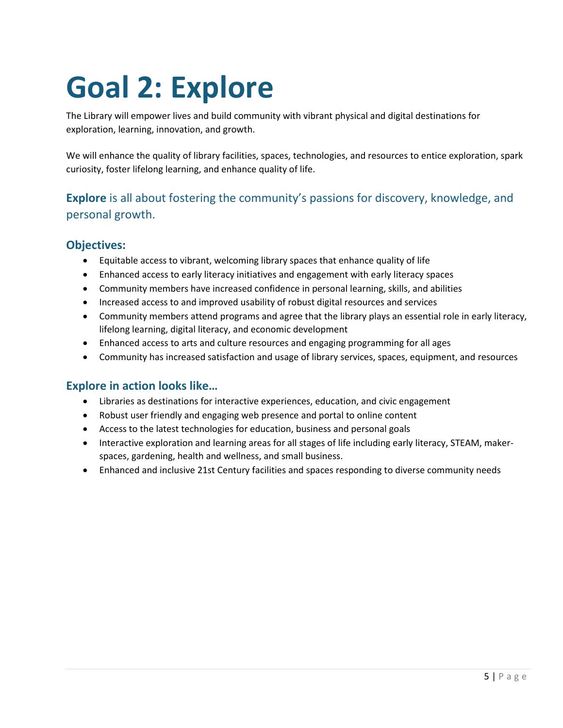# **Goal 2: Explore**

The Library will empower lives and build community with vibrant physical and digital destinations for exploration, learning, innovation, and growth.

We will enhance the quality of library facilities, spaces, technologies, and resources to entice exploration, spark curiosity, foster lifelong learning, and enhance quality of life.

#### **Explore** is all about fostering the community's passions for discovery, knowledge, and personal growth.

#### **Objectives:**

- Equitable access to vibrant, welcoming library spaces that enhance quality of life
- Enhanced access to early literacy initiatives and engagement with early literacy spaces
- Community members have increased confidence in personal learning, skills, and abilities
- Increased access to and improved usability of robust digital resources and services
- Community members attend programs and agree that the library plays an essential role in early literacy, lifelong learning, digital literacy, and economic development
- Enhanced access to arts and culture resources and engaging programming for all ages
- Community has increased satisfaction and usage of library services, spaces, equipment, and resources

#### **Explore in action looks like…**

- Libraries as destinations for interactive experiences, education, and civic engagement
- Robust user friendly and engaging web presence and portal to online content
- Access to the latest technologies for education, business and personal goals
- Interactive exploration and learning areas for all stages of life including early literacy, STEAM, makerspaces, gardening, health and wellness, and small business.
- Enhanced and inclusive 21st Century facilities and spaces responding to diverse community needs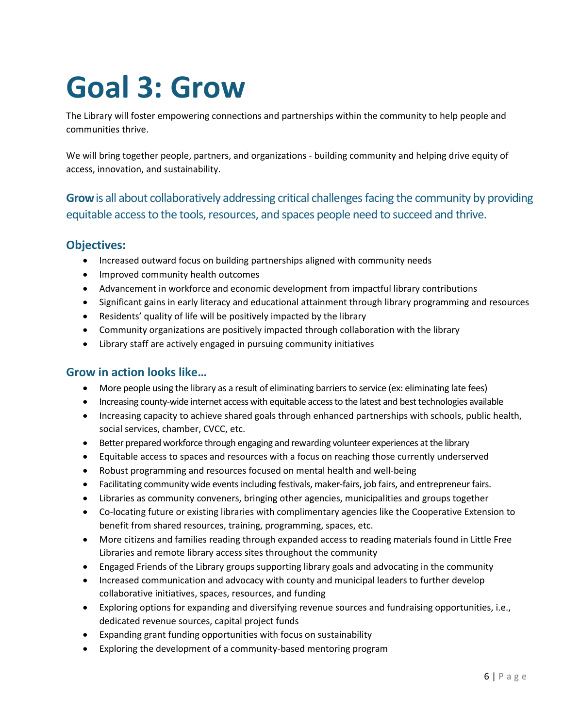# **Goal 3: Grow**

The Library will foster empowering connections and partnerships within the community to help people and communities thrive.

We will bring together people, partners, and organizations - building community and helping drive equity of access, innovation, and sustainability.

**Grow**is all about collaboratively addressing critical challenges facing the community by providing equitable access to the tools, resources, and spaces people need to succeed and thrive.

#### **Objectives:**

- Increased outward focus on building partnerships aligned with community needs
- Improved community health outcomes
- Advancement in workforce and economic development from impactful library contributions
- Significant gains in early literacy and educational attainment through library programming and resources
- Residents' quality of life will be positively impacted by the library
- Community organizations are positively impacted through collaboration with the library
- Library staff are actively engaged in pursuing community initiatives

#### **Grow in action looks like…**

- More people using the library as a result of eliminating barriers to service (ex: eliminating late fees)
- Increasing county-wide internet access with equitable access to the latest and best technologies available
- Increasing capacity to achieve shared goals through enhanced partnerships with schools, public health, social services, chamber, CVCC, etc.
- Better prepared workforce through engaging and rewarding volunteer experiences at the library
- Equitable access to spaces and resources with a focus on reaching those currently underserved
- Robust programming and resources focused on mental health and well-being
- Facilitating community wide events including festivals, maker-fairs, job fairs, and entrepreneur fairs.
- Libraries as community conveners, bringing other agencies, municipalities and groups together
- Co-locating future or existing libraries with complimentary agencies like the Cooperative Extension to benefit from shared resources, training, programming, spaces, etc.
- More citizens and families reading through expanded access to reading materials found in Little Free Libraries and remote library access sites throughout the community
- Engaged Friends of the Library groups supporting library goals and advocating in the community
- Increased communication and advocacy with county and municipal leaders to further develop collaborative initiatives, spaces, resources, and funding
- Exploring options for expanding and diversifying revenue sources and fundraising opportunities, i.e., dedicated revenue sources, capital project funds
- Expanding grant funding opportunities with focus on sustainability
- Exploring the development of a community-based mentoring program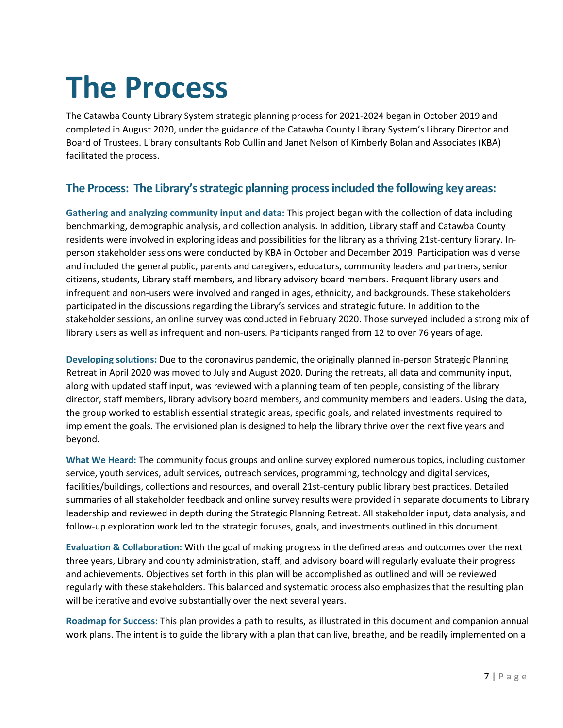# **The Process**

The Catawba County Library System strategic planning process for 2021-2024 began in October 2019 and completed in August 2020, under the guidance of the Catawba County Library System's Library Director and Board of Trustees. Library consultants Rob Cullin and Janet Nelson of Kimberly Bolan and Associates (KBA) facilitated the process.

#### **The Process: The Library's strategic planning process included the following key areas:**

**Gathering and analyzing community input and data:** This project began with the collection of data including benchmarking, demographic analysis, and collection analysis. In addition, Library staff and Catawba County residents were involved in exploring ideas and possibilities for the library as a thriving 21st-century library. Inperson stakeholder sessions were conducted by KBA in October and December 2019. Participation was diverse and included the general public, parents and caregivers, educators, community leaders and partners, senior citizens, students, Library staff members, and library advisory board members. Frequent library users and infrequent and non-users were involved and ranged in ages, ethnicity, and backgrounds. These stakeholders participated in the discussions regarding the Library's services and strategic future. In addition to the stakeholder sessions, an online survey was conducted in February 2020. Those surveyed included a strong mix of library users as well as infrequent and non-users. Participants ranged from 12 to over 76 years of age.

**Developing solutions:** Due to the coronavirus pandemic, the originally planned in-person Strategic Planning Retreat in April 2020 was moved to July and August 2020. During the retreats, all data and community input, along with updated staff input, was reviewed with a planning team of ten people, consisting of the library director, staff members, library advisory board members, and community members and leaders. Using the data, the group worked to establish essential strategic areas, specific goals, and related investments required to implement the goals. The envisioned plan is designed to help the library thrive over the next five years and beyond.

**What We Heard:** The community focus groups and online survey explored numerous topics, including customer service, youth services, adult services, outreach services, programming, technology and digital services, facilities/buildings, collections and resources, and overall 21st-century public library best practices. Detailed summaries of all stakeholder feedback and online survey results were provided in separate documents to Library leadership and reviewed in depth during the Strategic Planning Retreat. All stakeholder input, data analysis, and follow-up exploration work led to the strategic focuses, goals, and investments outlined in this document.

**Evaluation & Collaboration:** With the goal of making progress in the defined areas and outcomes over the next three years, Library and county administration, staff, and advisory board will regularly evaluate their progress and achievements. Objectives set forth in this plan will be accomplished as outlined and will be reviewed regularly with these stakeholders. This balanced and systematic process also emphasizes that the resulting plan will be iterative and evolve substantially over the next several years.

**Roadmap for Success:** This plan provides a path to results, as illustrated in this document and companion annual work plans. The intent is to guide the library with a plan that can live, breathe, and be readily implemented on a